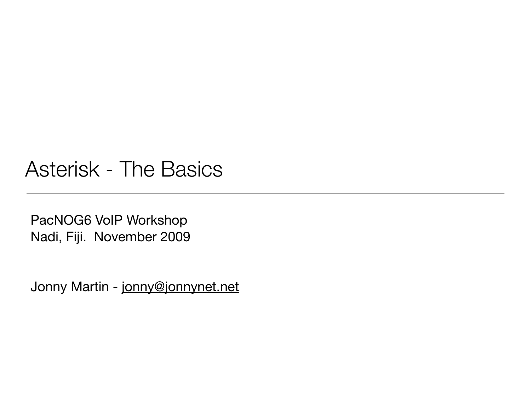#### Asterisk - The Basics

PacNOG6 VoIP Workshop Nadi, Fiji. November 2009

Jonny Martin - [jonny@jonnynet.net](mailto:jonny@jonnynet.net)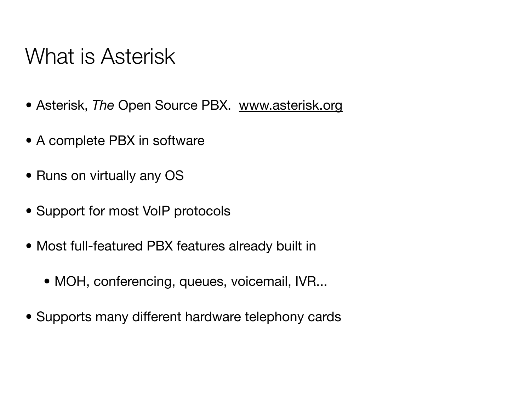## What is Asterisk

- Asterisk, *The* Open Source PBX. [www.asterisk.org](http://www.asterisk.org)
- A complete PBX in software
- Runs on virtually any OS
- Support for most VoIP protocols
- Most full-featured PBX features already built in
	- MOH, conferencing, queues, voicemail, IVR...
- Supports many different hardware telephony cards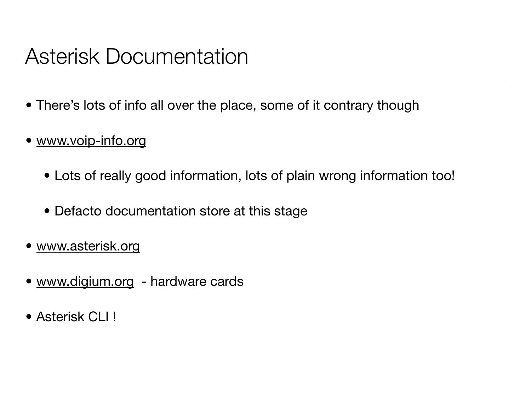## Asterisk Documentation

- There's lots of info all over the place, some of it contrary though
- [www.voip-info.org](http://www.voip-info.org)
	- Lots of really good information, lots of plain wrong information too!
	- Defacto documentation store at this stage
- [www.asterisk.org](http://www.asterisk.org)
- [www.digium.org](http://www.digium.org)  hardware cards
- Asterisk CLI !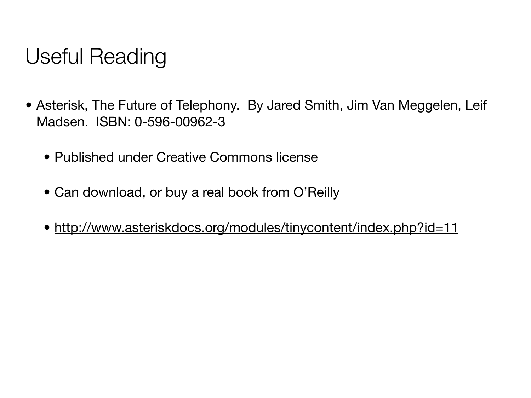# Useful Reading

- Asterisk, The Future of Telephony. By Jared Smith, Jim Van Meggelen, Leif Madsen. ISBN: 0-596-00962-3
	- Published under Creative Commons license
	- Can download, or buy a real book from O'Reilly
	- <http://www.asteriskdocs.org/modules/tinycontent/index.php?id=11>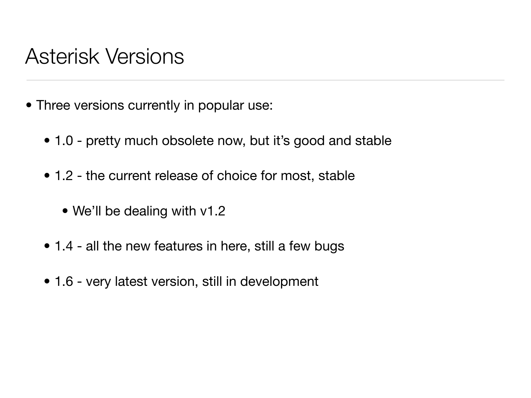#### Asterisk Versions

- Three versions currently in popular use:
	- 1.0 pretty much obsolete now, but it's good and stable
	- 1.2 the current release of choice for most, stable
		- We'll be dealing with v1.2
	- 1.4 all the new features in here, still a few bugs
	- 1.6 very latest version, still in development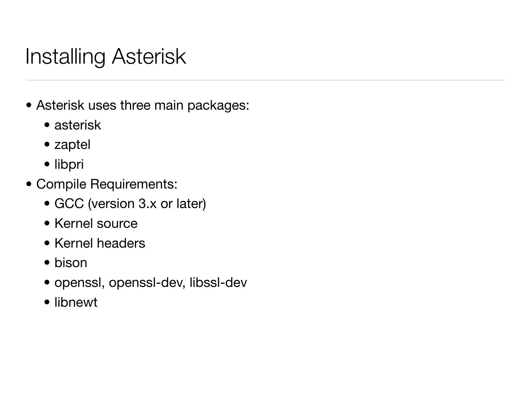# Installing Asterisk

- Asterisk uses three main packages:
	- asterisk
	- zaptel
	- libpri
- Compile Requirements:
	- GCC (version 3.x or later)
	- Kernel source
	- Kernel headers
	- bison
	- openssl, openssl-dev, libssl-dev
	- libnewt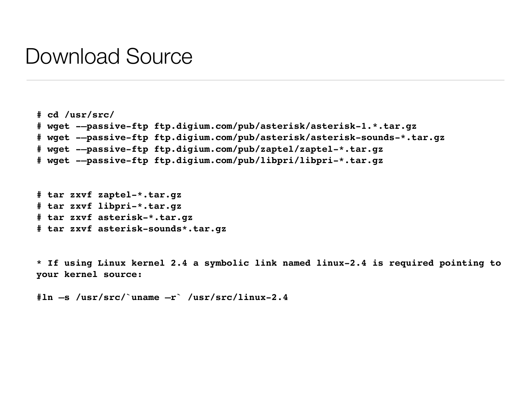#### Download Source

```
# cd /usr/src/ 
# wget -–passive-ftp ftp.digium.com/pub/asterisk/asterisk-1.*.tar.gz 
# wget -–passive-ftp ftp.digium.com/pub/asterisk/asterisk-sounds-*.tar.gz 
# wget -–passive-ftp ftp.digium.com/pub/zaptel/zaptel-*.tar.gz 
# wget -–passive-ftp ftp.digium.com/pub/libpri/libpri-*.tar.gz
```

```
# tar zxvf zaptel-*.tar.gz 
# tar zxvf libpri-*.tar.gz 
# tar zxvf asterisk-*.tar.gz 
# tar zxvf asterisk-sounds*.tar.gz
```
**\* If using Linux kernel 2.4 a symbolic link named linux-2.4 is required pointing to your kernel source:**

```
#ln –s /usr/src/`uname –r` /usr/src/linux-2.4
```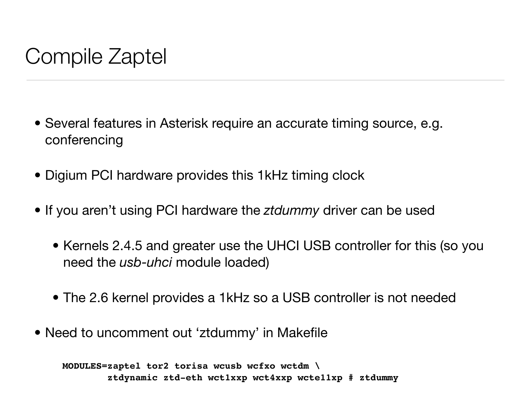# Compile Zaptel

- Several features in Asterisk require an accurate timing source, e.g. conferencing
- Digium PCI hardware provides this 1kHz timing clock
- If you aren't using PCI hardware the *ztdummy* driver can be used
	- Kernels 2.4.5 and greater use the UHCI USB controller for this (so you need the *usb-uhci* module loaded)
	- The 2.6 kernel provides a 1kHz so a USB controller is not needed
- Need to uncomment out 'ztdummy' in Makefile

**MODULES=zaptel tor2 torisa wcusb wcfxo wctdm \ ztdynamic ztd-eth wct1xxp wct4xxp wcte11xp # ztdummy**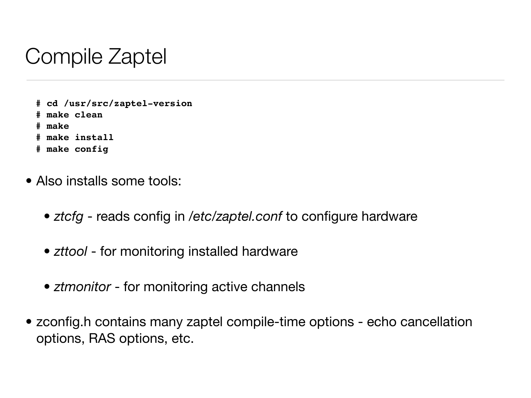# Compile Zaptel

**# cd /usr/src/zaptel-version # make clean # make # make install # make config**

- Also installs some tools:
	- *ztcfg* reads config in */etc/zaptel.conf* to configure hardware
	- *zttool* for monitoring installed hardware
	- *ztmonitor* for monitoring active channels
- zconfig.h contains many zaptel compile-time options echo cancellation options, RAS options, etc.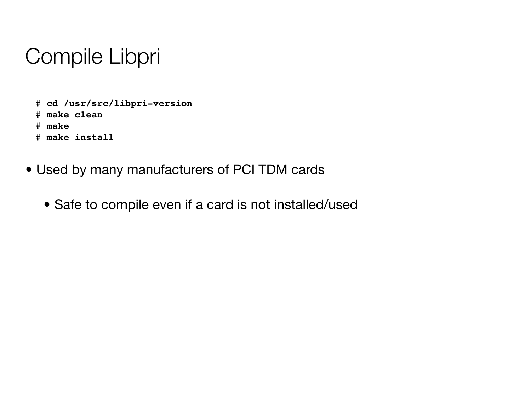# Compile Libpri

```
# cd /usr/src/libpri-version 
# make clean 
# make 
# make install
```
- Used by many manufacturers of PCI TDM cards
	- Safe to compile even if a card is not installed/used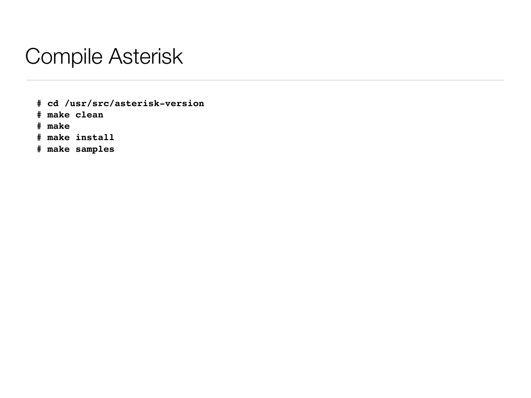## Compile Asterisk

**# cd /usr/src/asterisk-version** 

**# make clean** 

**# make** 

**# make install** 

**# make samples**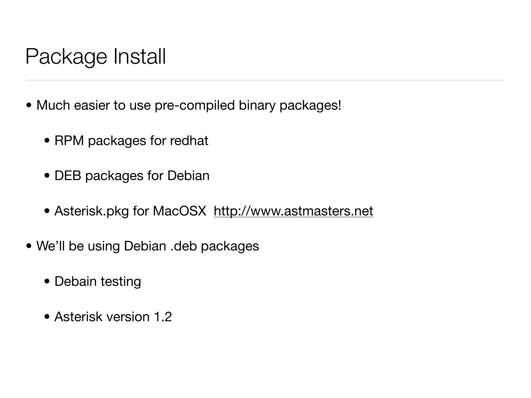# Package Install

- Much easier to use pre-compiled binary packages!
	- RPM packages for redhat
	- DEB packages for Debian
	- Asterisk.pkg for MacOSX <http://www.astmasters.net>
- We'll be using Debian .deb packages
	- Debain testing
	- Asterisk version 1.2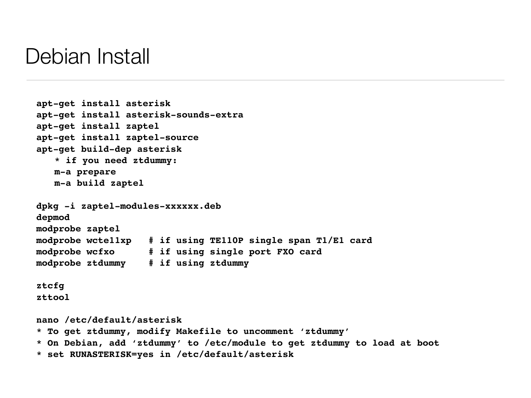#### Debian Install

```
apt-get install asterisk
apt-get install asterisk-sounds-extra
apt-get install zaptel
apt-get install zaptel-source
apt-get build-dep asterisk
   * if you need ztdummy:
   m-a prepare
   m-a build zaptel
dpkg -i zaptel-modules-xxxxxx.deb
depmod
modprobe zaptel
modprobe wcte11xp # if using TE110P single span T1/E1 card
modprobe wcfxo # if using single port FXO card
modprobe ztdummy # if using ztdummy
ztcfg
zttool
nano /etc/default/asterisk
* To get ztdummy, modify Makefile to uncomment 'ztdummy'
* On Debian, add 'ztdummy' to /etc/module to get ztdummy to load at boot
* set RUNASTERISK=yes in /etc/default/asterisk
```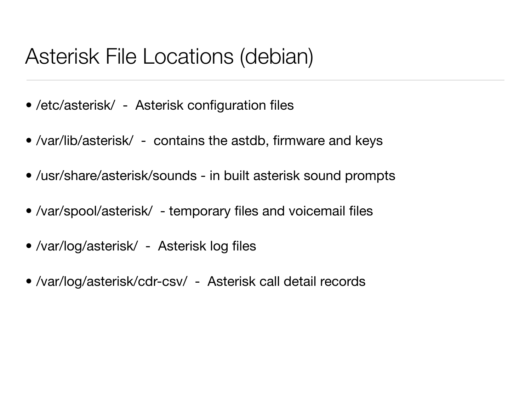## Asterisk File Locations (debian)

- /etc/asterisk/ Asterisk configuration files
- /var/lib/asterisk/ contains the astdb, firmware and keys
- /usr/share/asterisk/sounds in built asterisk sound prompts
- /var/spool/asterisk/ temporary files and voicemail files
- /var/log/asterisk/ Asterisk log files
- /var/log/asterisk/cdr-csv/ Asterisk call detail records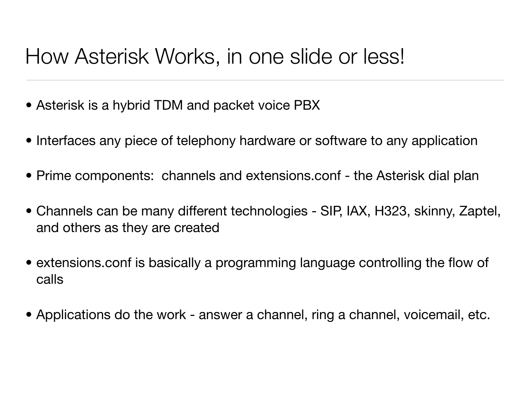# How Asterisk Works, in one slide or less!

- Asterisk is a hybrid TDM and packet voice PBX
- Interfaces any piece of telephony hardware or software to any application
- Prime components: channels and extensions conf the Asterisk dial plan
- Channels can be many different technologies SIP, IAX, H323, skinny, Zaptel, and others as they are created
- extensions.conf is basically a programming language controlling the flow of calls
- Applications do the work answer a channel, ring a channel, voicemail, etc.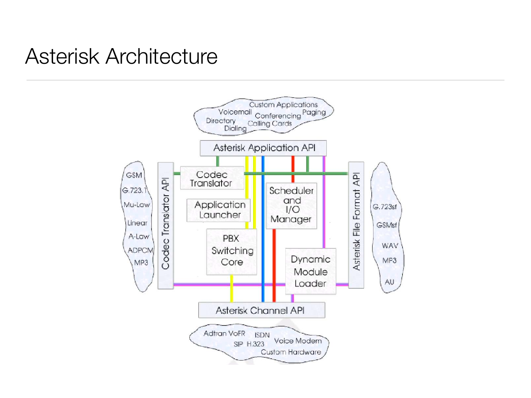## *The Asterisk Handbook* Asterisk Architecture *Chapter 2: Asterisk's Architecture*

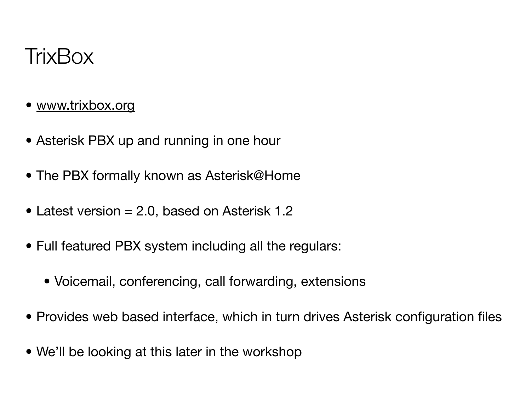

- [www.trixbox.org](http://www.trixbox.org)
- Asterisk PBX up and running in one hour
- The PBX formally known as Asterisk@Home
- Latest version = 2.0, based on Asterisk 1.2
- Full featured PBX system including all the regulars:
	- Voicemail, conferencing, call forwarding, extensions
- Provides web based interface, which in turn drives Asterisk configuration files
- We'll be looking at this later in the workshop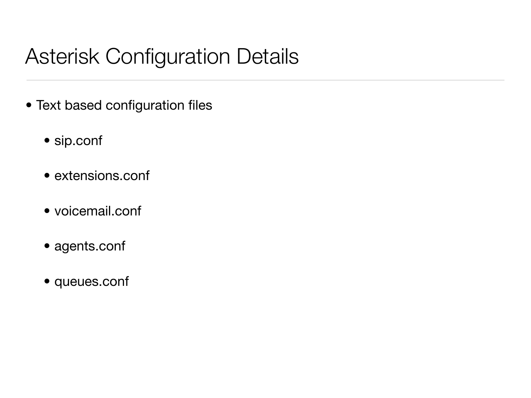# Asterisk Configuration Details

- Text based configuration files
	- sip.conf
	- extensions.conf
	- voicemail.conf
	- agents.conf
	- queues.conf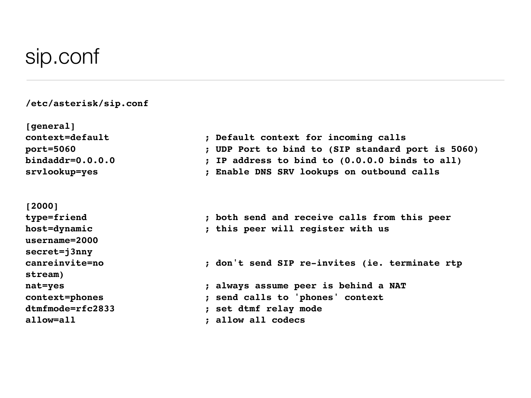#### sip.conf

#### **/etc/asterisk/sip.conf**

**[general] context=default ; Default context for incoming calls port=5060 ; UDP Port to bind to (SIP standard port is 5060) bindaddr=0.0.0.0 ; IP address to bind to (0.0.0.0 binds to all) srvlookup=yes ; Enable DNS SRV lookups on outbound calls [2000] type=friend ; both send and receive calls from this peer host=dynamic ; this peer will register with us username=2000 secret=j3nny canreinvite=no ; don't send SIP re-invites (ie. terminate rtp stream) nat=yes ; always assume peer is behind a NAT context=phones ; send calls to 'phones' context dtmfmode=rfc2833 ; set dtmf relay mode allow=all ; allow all codecs**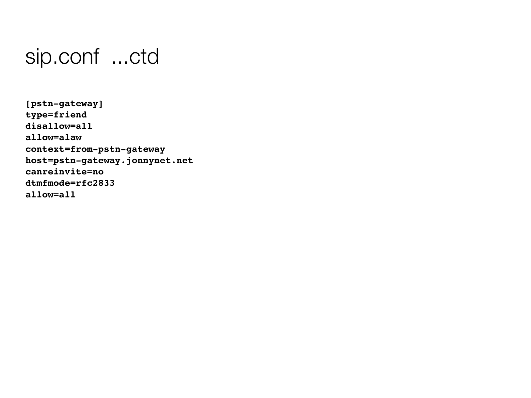## sip.conf ...ctd

**[pstn-gateway] type=friend disallow=all allow=alaw context=from-pstn-gateway host=pstn-gateway.jonnynet.net canreinvite=no dtmfmode=rfc2833 allow=all**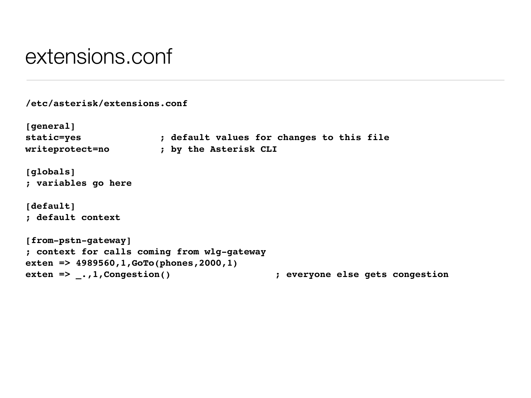#### extensions.conf

```
/etc/asterisk/extensions.conf
[general]
static=yes ; default values for changes to this file
writeprotect=no ; by the Asterisk CLI
[globals]
; variables go here
[default]
; default context
[from-pstn-gateway]
; context for calls coming from wlg-gateway
exten => 4989560,1,GoTo(phones,2000,1)
exten => _.,1,Congestion() 

 ; everyone else gets congestion
```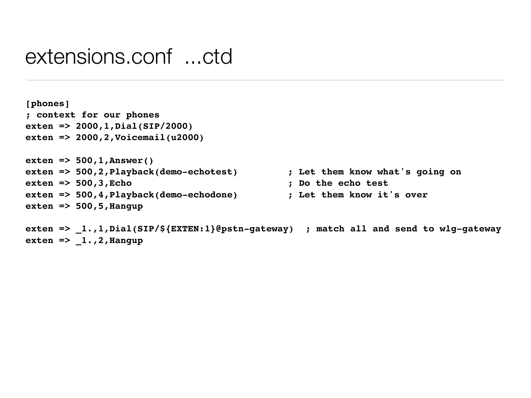#### extensions.conf ...ctd

```
[phones]
; context for our phones
exten => 2000,1,Dial(SIP/2000)
exten => 2000,2,Voicemail(u2000)
exten => 500,1,Answer()
exten => 500,2,Playback(demo-echotest) 

 ; Let them know what's going on
exten => 500,3,Echo 

 ; Do the echo test
exten => 500,4,Playback(demo-echodone) 

 ; Let them know it's over
exten => 500,5,Hangup
```

```
exten => _1.,1,Dial(SIP/${EXTEN:1}@pstn-gateway) ; match all and send to wlg-gateway
exten => _1.,2,Hangup
```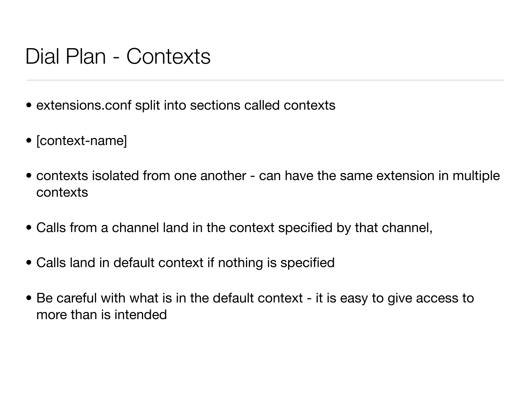## Dial Plan - Contexts

- extensions conf split into sections called contexts
- [context-name]
- contexts isolated from one another can have the same extension in multiple contexts
- Calls from a channel land in the context specified by that channel,
- Calls land in default context if nothing is specified
- Be careful with what is in the default context it is easy to give access to more than is intended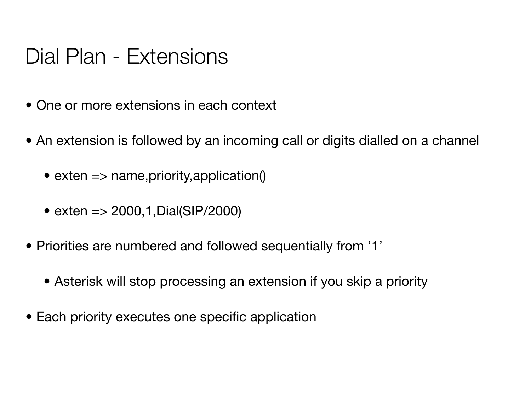## Dial Plan - Extensions

- One or more extensions in each context
- An extension is followed by an incoming call or digits dialled on a channel
	- exten => name, priority, application()
	- exten = > 2000, 1, Dial(SIP/2000)
- Priorities are numbered and followed sequentially from '1'
	- Asterisk will stop processing an extension if you skip a priority
- Each priority executes one specific application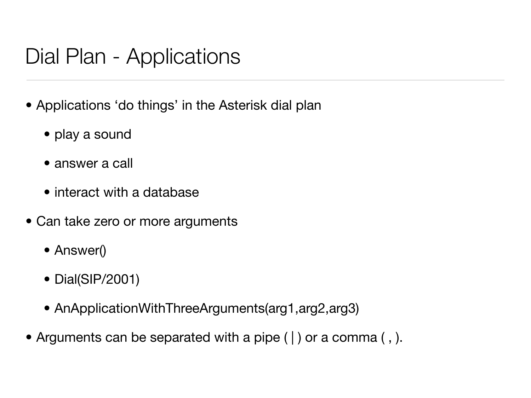## Dial Plan - Applications

- Applications 'do things' in the Asterisk dial plan
	- play a sound
	- answer a call
	- interact with a database
- Can take zero or more arguments
	- Answer()
	- Dial(SIP/2001)
	- AnApplicationWithThreeArguments(arg1,arg2,arg3)
- Arguments can be separated with a pipe ( | ) or a comma (, ).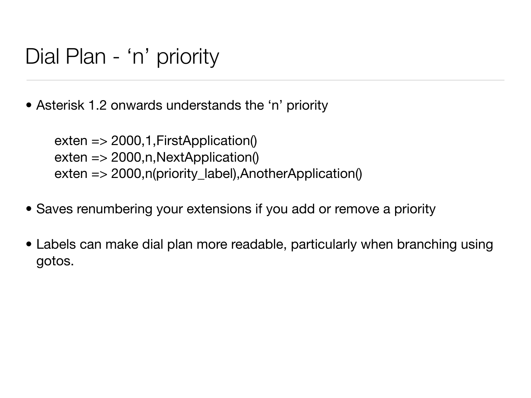## Dial Plan - 'n' priority

• Asterisk 1.2 onwards understands the 'n' priority

 $exten \Rightarrow 2000, 1, First Application()$  $exten$  => 2000, n, NextApplication() exten => 2000,n(priority\_label),AnotherApplication()

- Saves renumbering your extensions if you add or remove a priority
- Labels can make dial plan more readable, particularly when branching using gotos.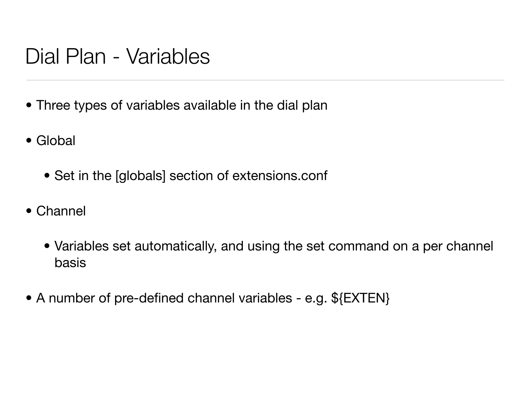## Dial Plan - Variables

- Three types of variables available in the dial plan
- Global
	- Set in the [globals] section of extensions.conf
- Channel
	- Variables set automatically, and using the set command on a per channel basis
- A number of pre-defined channel variables e.g. \${EXTEN}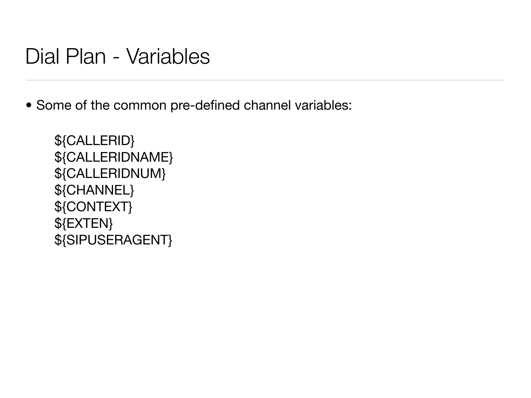#### Dial Plan - Variables

• Some of the common pre-defined channel variables:

\${CALLERID} \${CALLERIDNAME} \${CALLERIDNUM} \${CHANNEL} \${CONTEXT} \${EXTEN} \${SIPUSERAGENT}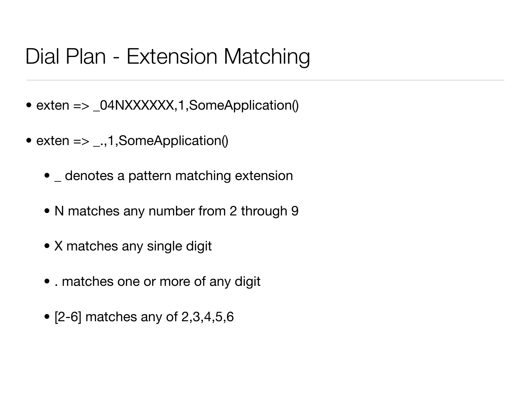# Dial Plan - Extension Matching

- exten => \_04NXXXXXX,1,SomeApplication()
- exten  $\Rightarrow$  \_.,1,SomeApplication()
	- denotes a pattern matching extension
	- N matches any number from 2 through 9
	- X matches any single digit
	- . matches one or more of any digit
	- $\bullet$  [2-6] matches any of 2,3,4,5,6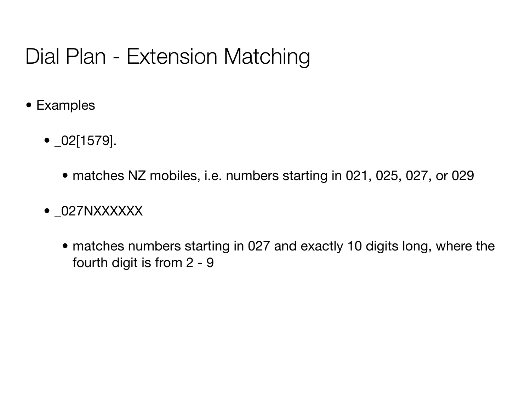# Dial Plan - Extension Matching

- Examples
	- \_02[1579].
		- matches NZ mobiles, i.e. numbers starting in 021, 025, 027, or 029
	- \_027NXXXXXX
		- matches numbers starting in 027 and exactly 10 digits long, where the fourth digit is from 2 - 9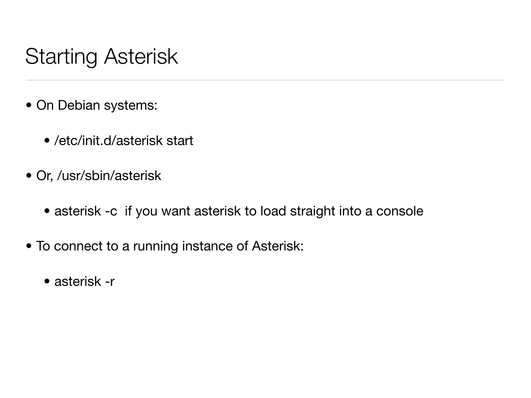# Starting Asterisk

- On Debian systems:
	- /etc/init.d/asterisk start
- Or, /usr/sbin/asterisk
	- asterisk -c if you want asterisk to load straight into a console
- To connect to a running instance of Asterisk:
	- asterisk -r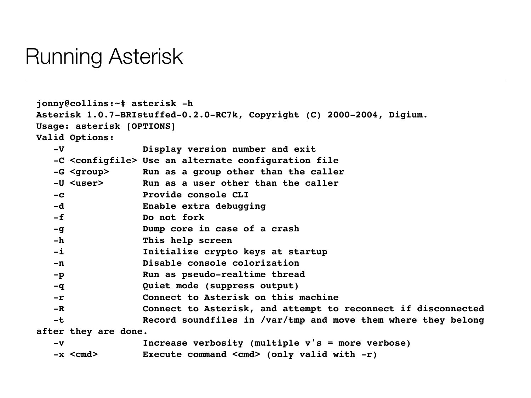#### Running Asterisk

**jonny@collins:~# asterisk -h Asterisk 1.0.7-BRIstuffed-0.2.0-RC7k, Copyright (C) 2000-2004, Digium. Usage: asterisk [OPTIONS] Valid Options: -V Display version number and exit -C <configfile> Use an alternate configuration file -G <group> Run as a group other than the caller -U <user> Run as a user other than the caller -c Provide console CLI -d Enable extra debugging -f Do not fork -g Dump core in case of a crash -h This help screen -i Initialize crypto keys at startup -n Disable console colorization** -p Run as pseudo-realtime thread  **-q Quiet mode (suppress output) -r Connect to Asterisk on this machine -R Connect to Asterisk, and attempt to reconnect if disconnected** -t Record soundfiles in /var/tmp and move them where they belong **after they are done. -v Increase verbosity (multiple v's = more verbose) -x <cmd> Execute command <cmd> (only valid with -r)**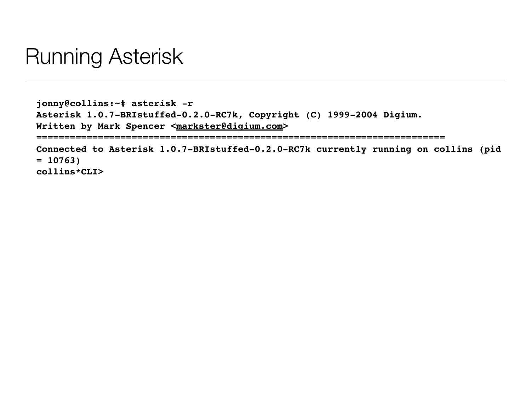## Running Asterisk

**jonny@collins:~# asterisk -r Asterisk 1.0.7-BRIstuffed-0.2.0-RC7k, Copyright (C) 1999-2004 Digium. Written by Mark Spencer [<markster@digium.com>](mailto:markster@digium.com) ========================================================================= Connected to Asterisk 1.0.7-BRIstuffed-0.2.0-RC7k currently running on collins (pid = 10763)**

**collins\*CLI>**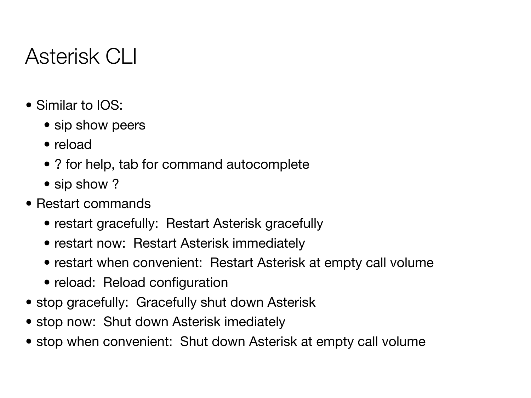# Asterisk CLI

- Similar to IOS:
	- sip show peers
	- reload
	- ? for help, tab for command autocomplete
	- sip show?
- Restart commands
	- restart gracefully: Restart Asterisk gracefully
	- restart now: Restart Asterisk immediately
	- restart when convenient: Restart Asterisk at empty call volume
	- reload: Reload configuration
- stop gracefully: Gracefully shut down Asterisk
- stop now: Shut down Asterisk imediately
- stop when convenient: Shut down Asterisk at empty call volume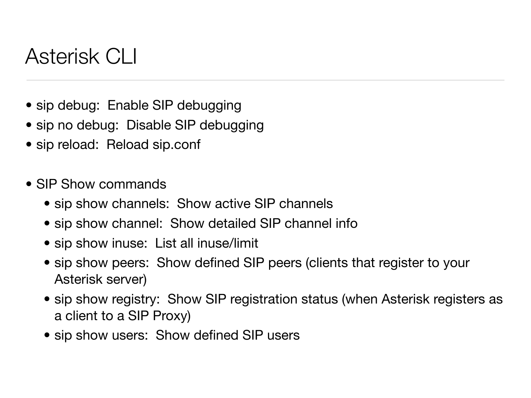## Asterisk CLI

- sip debug: Enable SIP debugging
- sip no debug: Disable SIP debugging
- sip reload: Reload sip.conf
- SIP Show commands
	- sip show channels: Show active SIP channels
	- sip show channel: Show detailed SIP channel info
	- sip show inuse: List all inuse/limit
	- sip show peers: Show defined SIP peers (clients that register to your Asterisk server)
	- sip show registry: Show SIP registration status (when Asterisk registers as a client to a SIP Proxy)
	- sip show users: Show defined SIP users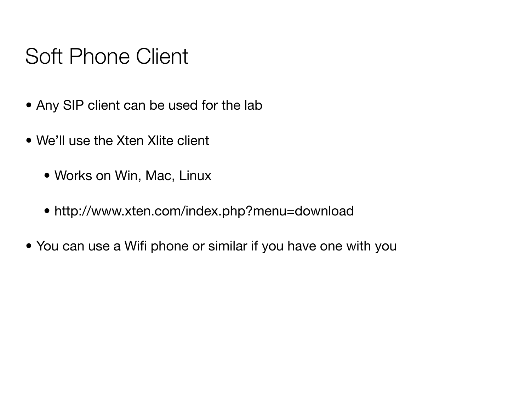# Soft Phone Client

- Any SIP client can be used for the lab
- We'll use the Xten Xlite client
	- Works on Win, Mac, Linux
	- <http://www.xten.com/index.php?menu=download>
- You can use a Wifi phone or similar if you have one with you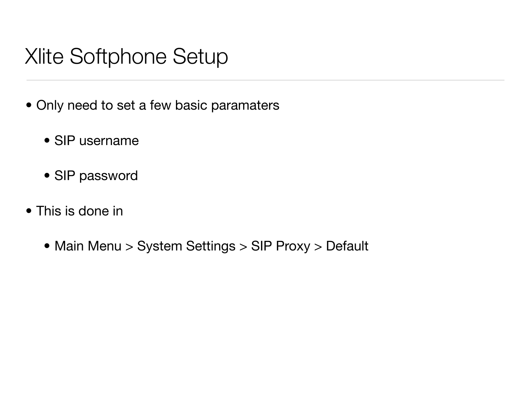# Xlite Softphone Setup

- Only need to set a few basic paramaters
	- SIP username
	- SIP password
- This is done in
	- Main Menu > System Settings > SIP Proxy > Default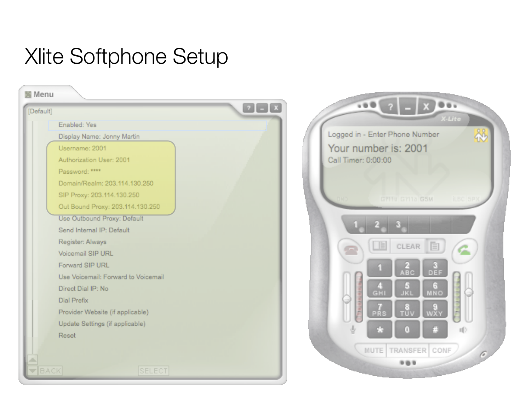# Xlite Softphone Setup

| Enabled: Yes<br>Logged in - Enter Phone Number<br>Display Name: Jonny Martin<br>Your number is: 2001<br>Username: 2001<br>Call Timer: 0:00:00<br>Authorization User: 2001<br>Password: ****<br>Domain/Realm: 203.114.130.250<br>SIP Proxy: 203.114.130.250<br>G711u G711a G5M<br>DND.<br>Out Bound Proxy: 203.114.130.250<br>Use Outbound Proxy: Default<br>Send Internal IP: Default<br>Register: Always<br>$\mathbb{E}$<br>CLEAR<br>Voicemail SIP URL<br>Forward SIP URL<br>81<br><b>ABC</b><br>DEF<br>Use Voicemail: Forward to Voicemail<br>Э<br>Direct Dial IP: No<br><b>JKL</b><br>MNO<br><b>GHI</b><br>Dial Prefix<br>Provider Website (if applicable)<br>WXY<br>TŪV<br>PRS<br>◡◡<br>Update Settings (if applicable) | X-Lite   | $\alpha \otimes \mathbf{0}$ | $[?]-[x]$ | [Default] |
|-----------------------------------------------------------------------------------------------------------------------------------------------------------------------------------------------------------------------------------------------------------------------------------------------------------------------------------------------------------------------------------------------------------------------------------------------------------------------------------------------------------------------------------------------------------------------------------------------------------------------------------------------------------------------------------------------------------------------------|----------|-----------------------------|-----------|-----------|
|                                                                                                                                                                                                                                                                                                                                                                                                                                                                                                                                                                                                                                                                                                                             |          |                             |           |           |
|                                                                                                                                                                                                                                                                                                                                                                                                                                                                                                                                                                                                                                                                                                                             |          |                             |           |           |
|                                                                                                                                                                                                                                                                                                                                                                                                                                                                                                                                                                                                                                                                                                                             |          |                             |           |           |
|                                                                                                                                                                                                                                                                                                                                                                                                                                                                                                                                                                                                                                                                                                                             |          |                             |           |           |
|                                                                                                                                                                                                                                                                                                                                                                                                                                                                                                                                                                                                                                                                                                                             |          |                             |           |           |
|                                                                                                                                                                                                                                                                                                                                                                                                                                                                                                                                                                                                                                                                                                                             |          |                             |           |           |
|                                                                                                                                                                                                                                                                                                                                                                                                                                                                                                                                                                                                                                                                                                                             | iLBC SP) |                             |           |           |
|                                                                                                                                                                                                                                                                                                                                                                                                                                                                                                                                                                                                                                                                                                                             |          |                             |           |           |
|                                                                                                                                                                                                                                                                                                                                                                                                                                                                                                                                                                                                                                                                                                                             |          |                             |           |           |
|                                                                                                                                                                                                                                                                                                                                                                                                                                                                                                                                                                                                                                                                                                                             |          |                             |           |           |
|                                                                                                                                                                                                                                                                                                                                                                                                                                                                                                                                                                                                                                                                                                                             |          |                             |           |           |
|                                                                                                                                                                                                                                                                                                                                                                                                                                                                                                                                                                                                                                                                                                                             |          |                             |           |           |
|                                                                                                                                                                                                                                                                                                                                                                                                                                                                                                                                                                                                                                                                                                                             |          |                             |           |           |
|                                                                                                                                                                                                                                                                                                                                                                                                                                                                                                                                                                                                                                                                                                                             |          |                             |           |           |
|                                                                                                                                                                                                                                                                                                                                                                                                                                                                                                                                                                                                                                                                                                                             |          |                             |           |           |
|                                                                                                                                                                                                                                                                                                                                                                                                                                                                                                                                                                                                                                                                                                                             |          |                             |           |           |
|                                                                                                                                                                                                                                                                                                                                                                                                                                                                                                                                                                                                                                                                                                                             |          |                             |           |           |
|                                                                                                                                                                                                                                                                                                                                                                                                                                                                                                                                                                                                                                                                                                                             | UU       |                             |           |           |
| 曲<br>Ŷ,<br>23<br>$\bullet$<br>Reset                                                                                                                                                                                                                                                                                                                                                                                                                                                                                                                                                                                                                                                                                         |          |                             |           |           |
| MUTE TRANSFER CONF                                                                                                                                                                                                                                                                                                                                                                                                                                                                                                                                                                                                                                                                                                          |          |                             |           |           |
| A<br>000                                                                                                                                                                                                                                                                                                                                                                                                                                                                                                                                                                                                                                                                                                                    |          |                             |           |           |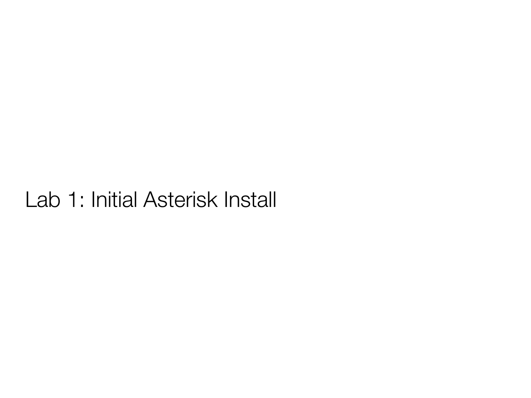# Lab 1: Initial Asterisk Install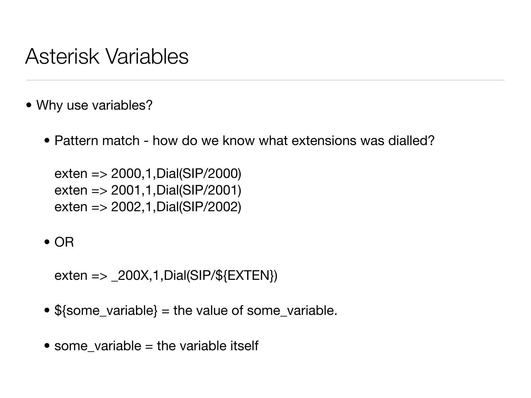## Asterisk Variables

- Why use variables?
	- Pattern match how do we know what extensions was dialled?

exten => 2000,1,Dial(SIP/2000) exten => 2001,1,Dial(SIP/2001) exten => 2002,1,Dial(SIP/2002)

• OR

exten  $\Rightarrow$  \_200X, 1, Dial(SIP/\${EXTEN})

- \${some\_variable} = the value of some\_variable.
- some\_variable = the variable itself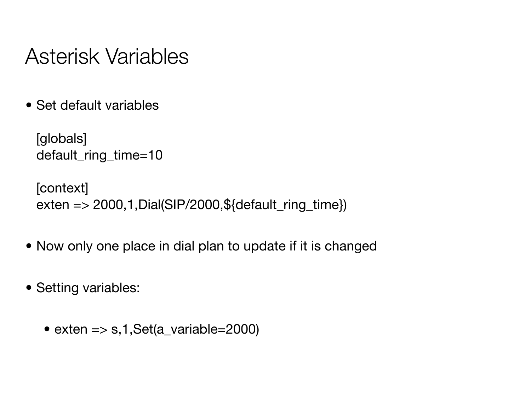## Asterisk Variables

• Set default variables

```
[globals]
default_ring_time=10
```
[context] exten => 2000,1,Dial(SIP/2000,\${default\_ring\_time})

- Now only one place in dial plan to update if it is changed
- Setting variables:
	- exten  $\Rightarrow$  s, 1, Set(a\_variable=2000)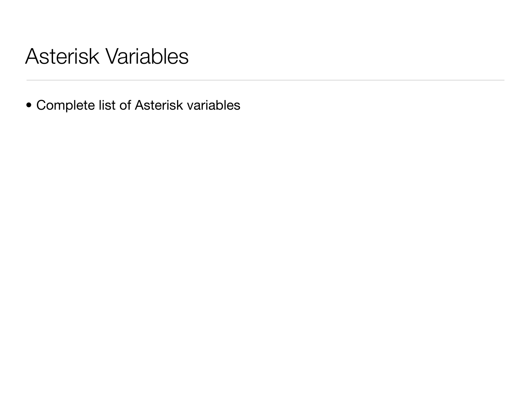## Asterisk Variables

• Complete list of Asterisk variables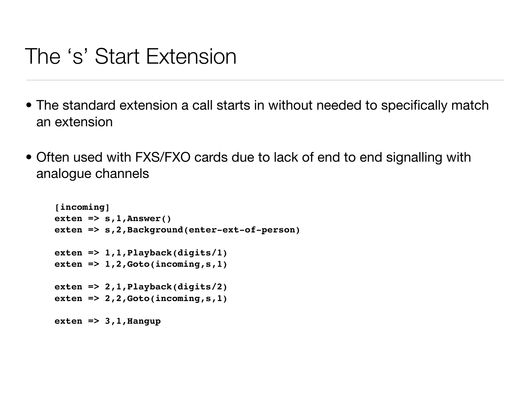## The 's' Start Extension

- The standard extension a call starts in without needed to specifically match an extension
- Often used with FXS/FXO cards due to lack of end to end signalling with analogue channels

```
[incoming]
exten => s,1,Answer()
exten => s,2,Background(enter-ext-of-person)
exten => 1,1,Playback(digits/1)
exten => 1,2,Goto(incoming, s, 1)
exten => 2,1,Playback(digits/2)
exten => 2,2,Goto(incoming,s,1)
exten => 3,1,Hangup
```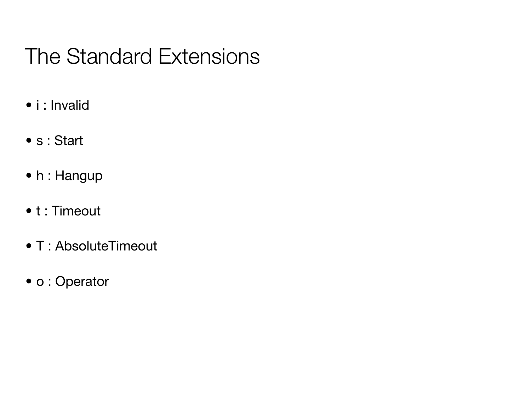# The Standard Extensions

- i : Invalid
- s : Start
- h : Hangup
- t : Timeout
- T : AbsoluteTimeout
- o : Operator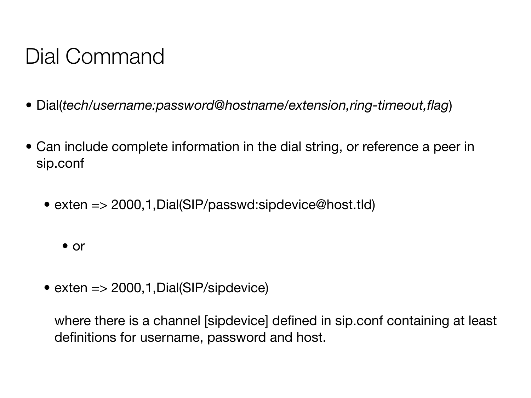# Dial Command

- Dial(*tech/username:password@hostname/extension,ring-timeout,flag*)
- Can include complete information in the dial string, or reference a peer in sip.conf
	- exten => 2000,1, Dial(SIP/passwd:sipdevice@host.tld)

• or

• exten = > 2000, 1, Dial(SIP/sipdevice)

where there is a channel [sipdevice] defined in sip.conf containing at least definitions for username, password and host.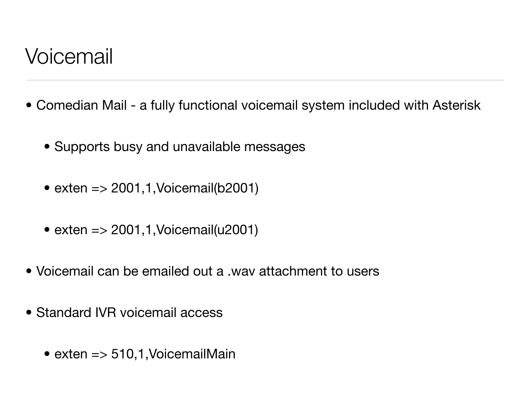## Voicemail

- Comedian Mail a fully functional voicemail system included with Asterisk
	- Supports busy and unavailable messages
	- exten  $\Rightarrow$  2001,1, Voicemail(b2001)
	- exten  $\approx$  2001,1, Voicemail(u2001)
- Voicemail can be emailed out a .wav attachment to users
- Standard IVR voicemail access
	- exten  $\approx$  510,1, VoicemailMain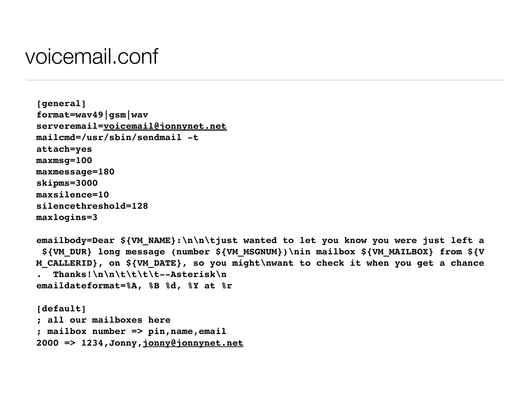#### voicemail.conf

```
[general]
format=wav49|gsm|wav
serveremail=voicemail@jonnynet.net
mailcmd=/usr/sbin/sendmail -t
attach=yes
maxmsg=100
maxmessage=180
skipms=3000
maxsilence=10
silencethreshold=128
maxlogins=3
```

```
emailbody=Dear ${VM_NAME}:\n\n\tjust wanted to let you know you were just left a
  ${VM_DUR} long message (number ${VM_MSGNUM})\nin mailbox ${VM_MAILBOX} from ${V
M_CALLERID}, on ${VM_DATE}, so you might\nwant to check it when you get a chance
   . Thanks!\n\n\t\t\t\t--Asterisk\n
emaildateformat=%A, %B %d, %Y at %r
```
**[default] ; all our mailboxes here ; mailbox number => pin,name,email 2000 => 1234,Jonny[,jonny@jonnynet.net](mailto:jonny@jonnynet.net)**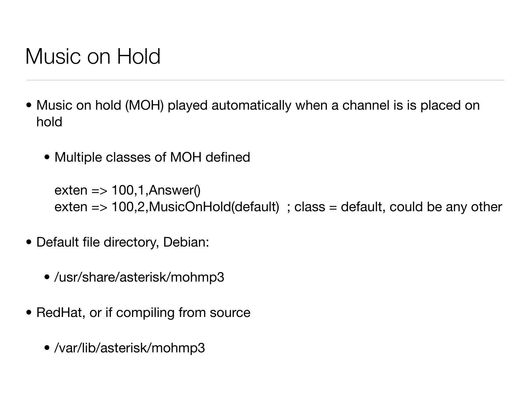# Music on Hold

- Music on hold (MOH) played automatically when a channel is is placed on hold
	- Multiple classes of MOH defined

 $exten \Rightarrow 100, 1,$ Answer() exten  $\Rightarrow$  100,2, MusicOnHold(default) ; class = default, could be any other

- Default file directory, Debian:
	- /usr/share/asterisk/mohmp3
- RedHat, or if compiling from source
	- /var/lib/asterisk/mohmp3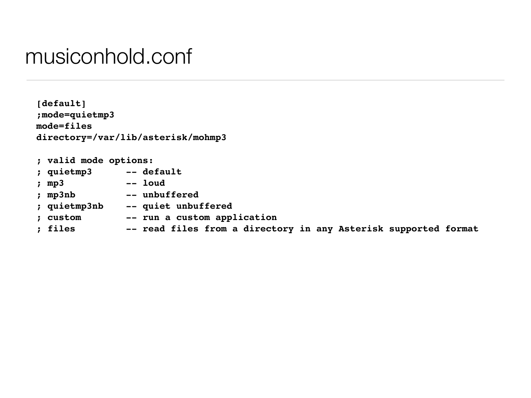#### musiconhold.conf

**[default] ;mode=quietmp3 mode=files directory=/var/lib/asterisk/mohmp3**

| ; valid mode options: |                                                                 |
|-----------------------|-----------------------------------------------------------------|
| ; quietmp3            | -- default                                                      |
| ; $mp3$               | -- loud                                                         |
| ; mp3nb               | -- unbuffered                                                   |
| ; quietmp3nb          | -- quiet unbuffered                                             |
| ; custom              | -- run a custom application                                     |
| ; files               | -- read files from a directory in any Asterisk supported format |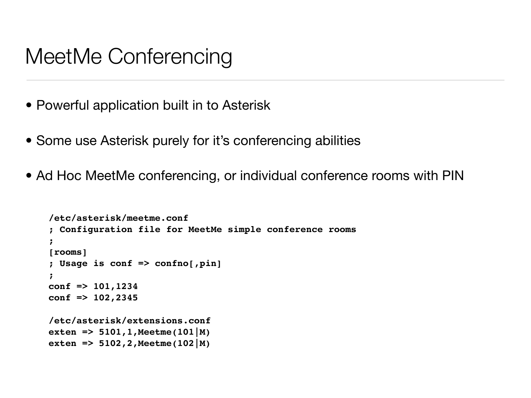## MeetMe Conferencing

- Powerful application built in to Asterisk
- Some use Asterisk purely for it's conferencing abilities
- Ad Hoc MeetMe conferencing, or individual conference rooms with PIN

```
/etc/asterisk/meetme.conf
; Configuration file for MeetMe simple conference rooms
;
[rooms]
; Usage is conf => confno[,pin]
;
conf => 101,1234
conf => 102,2345
/etc/asterisk/extensions.conf
exten => 5101,1,Meetme(101|M)
exten => 5102,2,Meetme(102|M)
```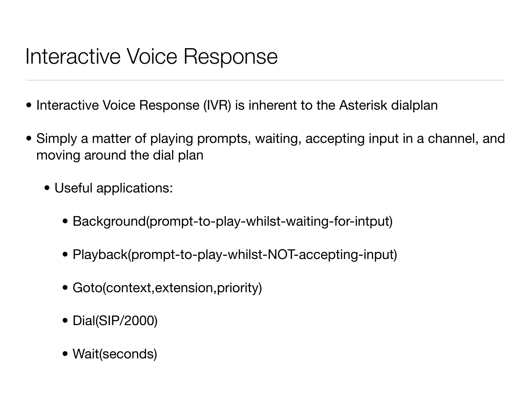# Interactive Voice Response

- Interactive Voice Response (IVR) is inherent to the Asterisk dialplan
- Simply a matter of playing prompts, waiting, accepting input in a channel, and moving around the dial plan
	- Useful applications:
		- Background(prompt-to-play-whilst-waiting-for-intput)
		- Playback(prompt-to-play-whilst-NOT-accepting-input)
		- Goto(context,extension,priority)
		- Dial(SIP/2000)
		- Wait(seconds)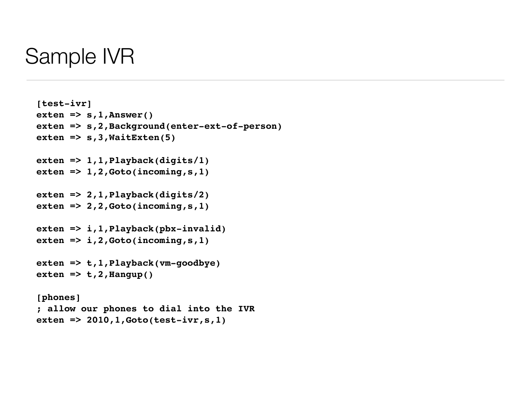#### Sample IVR

```
[test-ivr] 
exten => s,1,Answer() 
exten => s,2,Background(enter-ext-of-person)
exten => s,3,WaitExten(5) 
exten => 1,1,Playback(digits/1) 
exten => 1,2,Goto(incoming,s,1) 
exten => 2,1,Playback(digits/2) 
exten => 2,2,Goto(incoming,s,1) 
exten => i,1,Playback(pbx-invalid) 
exten => i,2,Goto(incoming,s,1) 
exten => t,1,Playback(vm-goodbye) 
exten => t,2,Hangup() 
[phones]
; allow our phones to dial into the IVR
exten => 2010,1,Goto(test-ivr,s,1)
```